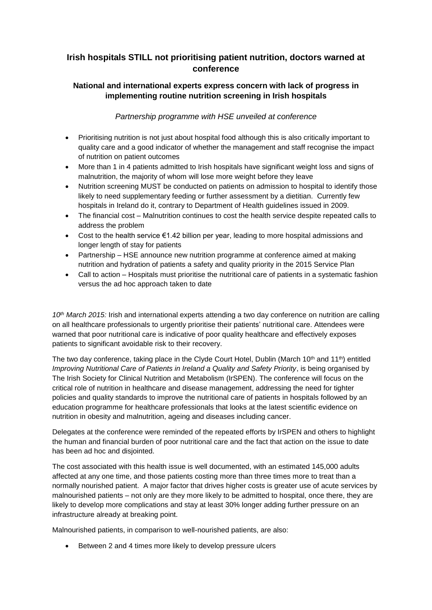# **Irish hospitals STILL not prioritising patient nutrition, doctors warned at conference**

## **National and international experts express concern with lack of progress in implementing routine nutrition screening in Irish hospitals**

## *Partnership programme with HSE unveiled at conference*

- Prioritising nutrition is not just about hospital food although this is also critically important to quality care and a good indicator of whether the management and staff recognise the impact of nutrition on patient outcomes
- More than 1 in 4 patients admitted to Irish hospitals have significant weight loss and signs of malnutrition, the majority of whom will lose more weight before they leave
- Nutrition screening MUST be conducted on patients on admission to hospital to identify those likely to need supplementary feeding or further assessment by a dietitian. Currently few hospitals in Ireland do it, contrary to Department of Health guidelines issued in 2009.
- The financial cost Malnutrition continues to cost the health service despite repeated calls to address the problem
- Cost to the health service €1.42 billion per year, leading to more hospital admissions and longer length of stay for patients
- Partnership HSE announce new nutrition programme at conference aimed at making nutrition and hydration of patients a safety and quality priority in the 2015 Service Plan
- Call to action Hospitals must prioritise the nutritional care of patients in a systematic fashion versus the ad hoc approach taken to date

*10th March 2015:* Irish and international experts attending a two day conference on nutrition are calling on all healthcare professionals to urgently prioritise their patients' nutritional care. Attendees were warned that poor nutritional care is indicative of poor quality healthcare and effectively exposes patients to significant avoidable risk to their recovery.

The two day conference, taking place in the Clyde Court Hotel, Dublin (March 10<sup>th</sup> and 11<sup>th</sup>) entitled *Improving Nutritional Care of Patients in Ireland a Quality and Safety Priority*, is being organised by The Irish Society for Clinical Nutrition and Metabolism (IrSPEN). The conference will focus on the critical role of nutrition in healthcare and disease management, addressing the need for tighter policies and quality standards to improve the nutritional care of patients in hospitals followed by an education programme for healthcare professionals that looks at the latest scientific evidence on nutrition in obesity and malnutrition, ageing and diseases including cancer.

Delegates at the conference were reminded of the repeated efforts by IrSPEN and others to highlight the human and financial burden of poor nutritional care and the fact that action on the issue to date has been ad hoc and disjointed.

The cost associated with this health issue is well documented, with an estimated 145,000 adults affected at any one time, and those patients costing more than three times more to treat than a normally nourished patient. A major factor that drives higher costs is greater use of acute services by malnourished patients – not only are they more likely to be admitted to hospital, once there, they are likely to develop more complications and stay at least 30% longer adding further pressure on an infrastructure already at breaking point.

Malnourished patients, in comparison to well-nourished patients, are also:

Between 2 and 4 times more likely to develop pressure ulcers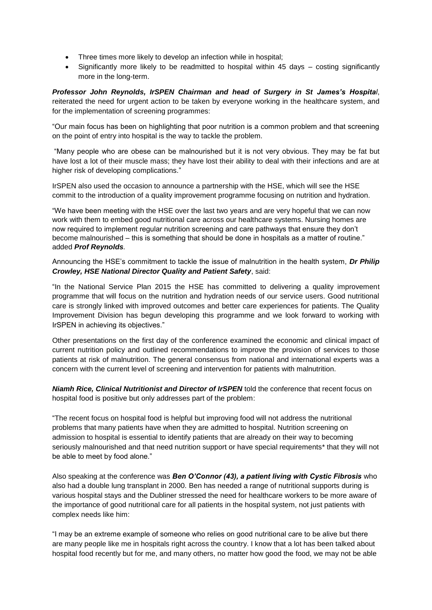- Three times more likely to develop an infection while in hospital;
- Significantly more likely to be readmitted to hospital within 45 days costing significantly more in the long-term.

*Professor John Reynolds, IrSPEN Chairman and head of Surgery in St James's Hospital*, reiterated the need for urgent action to be taken by everyone working in the healthcare system, and for the implementation of screening programmes:

"Our main focus has been on highlighting that poor nutrition is a common problem and that screening on the point of entry into hospital is the way to tackle the problem.

"Many people who are obese can be malnourished but it is not very obvious. They may be fat but have lost a lot of their muscle mass; they have lost their ability to deal with their infections and are at higher risk of developing complications."

IrSPEN also used the occasion to announce a partnership with the HSE, which will see the HSE commit to the introduction of a quality improvement programme focusing on nutrition and hydration.

"We have been meeting with the HSE over the last two years and are very hopeful that we can now work with them to embed good nutritional care across our healthcare systems. Nursing homes are now required to implement regular nutrition screening and care pathways that ensure they don't become malnourished – this is something that should be done in hospitals as a matter of routine." added *Prof Reynolds.*

Announcing the HSE's commitment to tackle the issue of malnutrition in the health system, *Dr Philip Crowley, HSE National Director Quality and Patient Safety*, said:

"In the National Service Plan 2015 the HSE has committed to delivering a quality improvement programme that will focus on the nutrition and hydration needs of our service users. Good nutritional care is strongly linked with improved outcomes and better care experiences for patients. The Quality Improvement Division has begun developing this programme and we look forward to working with IrSPEN in achieving its objectives."

Other presentations on the first day of the conference examined the economic and clinical impact of current nutrition policy and outlined recommendations to improve the provision of services to those patients at risk of malnutrition. The general consensus from national and international experts was a concern with the current level of screening and intervention for patients with malnutrition.

*Niamh Rice, Clinical Nutritionist and Director of IrSPEN* told the conference that recent focus on hospital food is positive but only addresses part of the problem:

"The recent focus on hospital food is helpful but improving food will not address the nutritional problems that many patients have when they are admitted to hospital. Nutrition screening on admission to hospital is essential to identify patients that are already on their way to becoming seriously malnourished and that need nutrition support or have special requirements\* that they will not be able to meet by food alone."

Also speaking at the conference was *Ben O'Connor (43), a patient living with Cystic Fibrosis* who also had a double lung transplant in 2000. Ben has needed a range of nutritional supports during is various hospital stays and the Dubliner stressed the need for healthcare workers to be more aware of the importance of good nutritional care for all patients in the hospital system, not just patients with complex needs like him:

"I may be an extreme example of someone who relies on good nutritional care to be alive but there are many people like me in hospitals right across the country. I know that a lot has been talked about hospital food recently but for me, and many others, no matter how good the food, we may not be able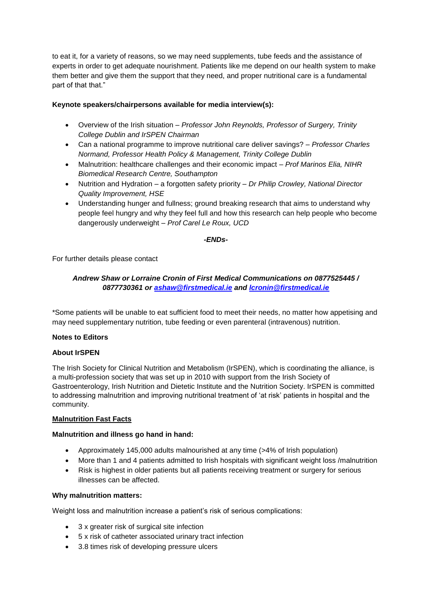to eat it, for a variety of reasons, so we may need supplements, tube feeds and the assistance of experts in order to get adequate nourishment. Patients like me depend on our health system to make them better and give them the support that they need, and proper nutritional care is a fundamental part of that that."

### **Keynote speakers/chairpersons available for media interview(s):**

- Overview of the Irish situation *Professor John Reynolds, Professor of Surgery, Trinity College Dublin and IrSPEN Chairman*
- Can a national programme to improve nutritional care deliver savings? *Professor Charles Normand, Professor Health Policy & Management, Trinity College Dublin*
- Malnutrition: healthcare challenges and their economic impact *Prof Marinos Elia, NIHR Biomedical Research Centre, Southampton*
- Nutrition and Hydration a forgotten safety priority *Dr Philip Crowley, National Director Quality Improvement, HSE*
- Understanding hunger and fullness; ground breaking research that aims to understand why people feel hungry and why they feel full and how this research can help people who become dangerously underweight – *Prof Carel Le Roux, UCD*

#### *-ENDs-*

For further details please contact

## *Andrew Shaw or Lorraine Cronin of First Medical Communications on 0877525445 / 0877730361 or [ashaw@firstmedical.ie](mailto:ashaw@firstmedical.ie) and [lcronin@firstmedical.ie](mailto:lcronin@firstmedical.ie)*

\*Some patients will be unable to eat sufficient food to meet their needs, no matter how appetising and may need supplementary nutrition, tube feeding or even parenteral (intravenous) nutrition.

#### **Notes to Editors**

#### **About IrSPEN**

The Irish Society for Clinical Nutrition and Metabolism (IrSPEN), which is coordinating the alliance, is a multi-profession society that was set up in 2010 with support from the Irish Society of Gastroenterology, Irish Nutrition and Dietetic Institute and the Nutrition Society. IrSPEN is committed to addressing malnutrition and improving nutritional treatment of 'at risk' patients in hospital and the community.

#### **Malnutrition Fast Facts**

#### **Malnutrition and illness go hand in hand:**

- Approximately 145,000 adults malnourished at any time (>4% of Irish population)
- More than 1 and 4 patients admitted to Irish hospitals with significant weight loss /malnutrition
- Risk is highest in older patients but all patients receiving treatment or surgery for serious illnesses can be affected.

#### **Why malnutrition matters:**

Weight loss and malnutrition increase a patient's risk of serious complications:

- 3 x greater risk of surgical site infection
- 5 x risk of catheter associated urinary tract infection
- 3.8 times risk of developing pressure ulcers